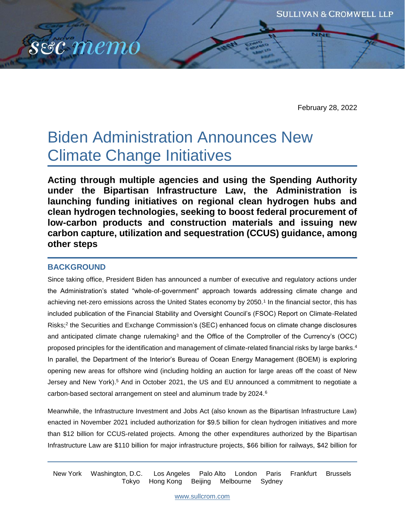

February 28, 2022

# Biden Administration Announces New Climate Change Initiatives

**Acting through multiple agencies and using the Spending Authority under the Bipartisan Infrastructure Law, the Administration is launching funding initiatives on regional clean hydrogen hubs and clean hydrogen technologies, seeking to boost federal procurement of low-carbon products and construction materials and issuing new carbon capture, utilization and sequestration (CCUS) guidance, among other steps**

# **BACKGROUND**

Since taking office, President Biden has announced a number of executive and regulatory actions under the Administration's stated "whole-of-government" approach towards addressing climate change and achieving net-zero emissions across the United States economy by 2050.<sup>1</sup> In the financial sector, this has included publication of the Financial Stability and Oversight Council's (FSOC) Report on Climate-Related Risks;<sup>2</sup> the Securities and Exchange Commission's (SEC) enhanced focus on climate change disclosures and anticipated climate change rulemaking<sup>3</sup> and the Office of the Comptroller of the Currency's (OCC) proposed principles for the identification and management of climate-related financial risks by large banks.<sup>4</sup> In parallel, the Department of the Interior's Bureau of Ocean Energy Management (BOEM) is exploring opening new areas for offshore wind (including holding an auction for large areas off the coast of New Jersey and New York).<sup>5</sup> And in October 2021, the US and EU announced a commitment to negotiate a carbon-based sectoral arrangement on steel and aluminum trade by 2024.<sup>6</sup>

Meanwhile, the Infrastructure Investment and Jobs Act (also known as the Bipartisan Infrastructure Law) enacted in November 2021 included authorization for \$9.5 billion for clean hydrogen initiatives and more than \$12 billion for CCUS-related projects. Among the other expenditures authorized by the Bipartisan Infrastructure Law are \$110 billion for major infrastructure projects, \$66 billion for railways, \$42 billion for

New York Washington, D.C. Los Angeles Palo Alto London Paris Frankfurt Brussels Tokyo Hong Kong Beijing Melbourne Sydney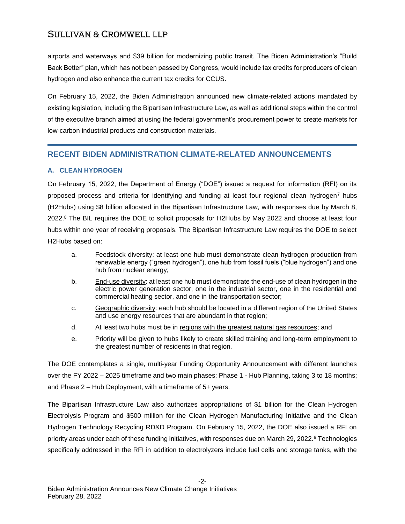airports and waterways and \$39 billion for modernizing public transit. The Biden Administration's "Build Back Better" plan, which has not been passed by Congress, would include tax credits for producers of clean hydrogen and also enhance the current tax credits for CCUS.

On February 15, 2022, the Biden Administration announced new climate-related actions mandated by existing legislation, including the Bipartisan Infrastructure Law, as well as additional steps within the control of the executive branch aimed at using the federal government's procurement power to create markets for low-carbon industrial products and construction materials.

# **RECENT BIDEN ADMINISTRATION CLIMATE-RELATED ANNOUNCEMENTS**

## **A. CLEAN HYDROGEN**

On February 15, 2022, the Department of Energy ("DOE") issued a request for information (RFI) on its proposed process and criteria for identifying and funding at least four regional clean hydrogen<sup>7</sup> hubs (H2Hubs) using \$8 billion allocated in the Bipartisan Infrastructure Law, with responses due by March 8, 2022.<sup>8</sup> The BIL requires the DOE to solicit proposals for H2Hubs by May 2022 and choose at least four hubs within one year of receiving proposals. The Bipartisan Infrastructure Law requires the DOE to select H2Hubs based on:

- a. Feedstock diversity: at least one hub must demonstrate clean hydrogen production from renewable energy ("green hydrogen"), one hub from fossil fuels ("blue hydrogen") and one hub from nuclear energy;
- b. End-use diversity: at least one hub must demonstrate the end-use of clean hydrogen in the electric power generation sector, one in the industrial sector, one in the residential and commercial heating sector, and one in the transportation sector;
- c. Geographic diversity: each hub should be located in a different region of the United States and use energy resources that are abundant in that region;
- d. At least two hubs must be in regions with the greatest natural gas resources; and
- e. Priority will be given to hubs likely to create skilled training and long-term employment to the greatest number of residents in that region.

The DOE contemplates a single, multi-year Funding Opportunity Announcement with different launches over the FY 2022 – 2025 timeframe and two main phases: Phase 1 - Hub Planning, taking 3 to 18 months; and Phase 2 – Hub Deployment, with a timeframe of 5+ years.

The Bipartisan Infrastructure Law also authorizes appropriations of \$1 billion for the Clean Hydrogen Electrolysis Program and \$500 million for the Clean Hydrogen Manufacturing Initiative and the Clean Hydrogen Technology Recycling RD&D Program. On February 15, 2022, the DOE also issued a RFI on priority areas under each of these funding initiatives, with responses due on March 29, 2022.<sup>9</sup> Technologies specifically addressed in the RFI in addition to electrolyzers include fuel cells and storage tanks, with the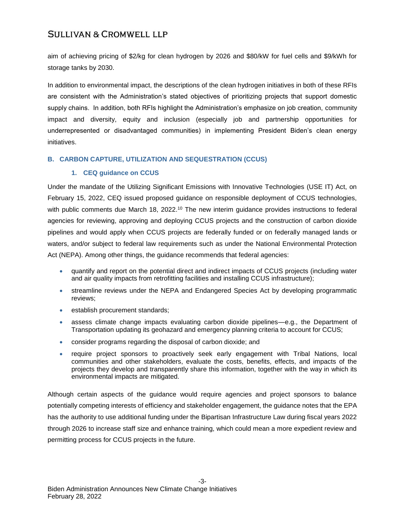aim of achieving pricing of \$2/kg for clean hydrogen by 2026 and \$80/kW for fuel cells and \$9/kWh for storage tanks by 2030.

In addition to environmental impact, the descriptions of the clean hydrogen initiatives in both of these RFIs are consistent with the Administration's stated objectives of prioritizing projects that support domestic supply chains. In addition, both RFIs highlight the Administration's emphasize on job creation, community impact and diversity, equity and inclusion (especially job and partnership opportunities for underrepresented or disadvantaged communities) in implementing President Biden's clean energy initiatives.

## **B. CARBON CAPTURE, UTILIZATION AND SEQUESTRATION (CCUS)**

## **1. CEQ guidance on CCUS**

Under the mandate of the Utilizing Significant Emissions with Innovative Technologies (USE IT) Act, on February 15, 2022, CEQ issued proposed guidance on responsible deployment of CCUS technologies, with public comments due March 18, 2022.<sup>10</sup> The new interim guidance provides instructions to federal agencies for reviewing, approving and deploying CCUS projects and the construction of carbon dioxide pipelines and would apply when CCUS projects are federally funded or on federally managed lands or waters, and/or subject to federal law requirements such as under the National Environmental Protection Act (NEPA). Among other things, the guidance recommends that federal agencies:

- quantify and report on the potential direct and indirect impacts of CCUS projects (including water and air quality impacts from retrofitting facilities and installing CCUS infrastructure);
- streamline reviews under the NEPA and Endangered Species Act by developing programmatic reviews;
- **establish procurement standards;**
- assess climate change impacts evaluating carbon dioxide pipelines—e.g., the Department of Transportation updating its geohazard and emergency planning criteria to account for CCUS;
- consider programs regarding the disposal of carbon dioxide; and
- require project sponsors to proactively seek early engagement with Tribal Nations, local communities and other stakeholders, evaluate the costs, benefits, effects, and impacts of the projects they develop and transparently share this information, together with the way in which its environmental impacts are mitigated.

Although certain aspects of the guidance would require agencies and project sponsors to balance potentially competing interests of efficiency and stakeholder engagement, the guidance notes that the EPA has the authority to use additional funding under the Bipartisan Infrastructure Law during fiscal years 2022 through 2026 to increase staff size and enhance training, which could mean a more expedient review and permitting process for CCUS projects in the future.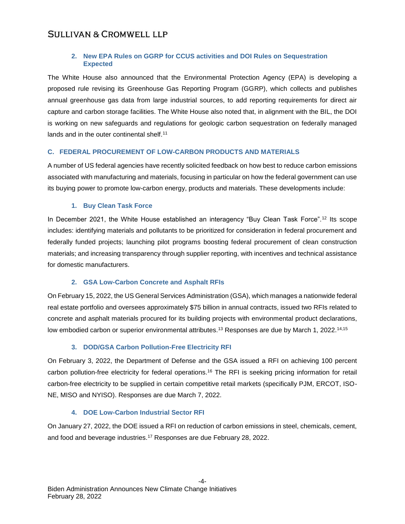## **2. New EPA Rules on GGRP for CCUS activities and DOI Rules on Sequestration Expected**

The White House also announced that the Environmental Protection Agency (EPA) is developing a proposed rule revising its Greenhouse Gas Reporting Program (GGRP), which collects and publishes annual greenhouse gas data from large industrial sources, to add reporting requirements for direct air capture and carbon storage facilities. The White House also noted that, in alignment with the BIL, the DOI is working on new safeguards and regulations for geologic carbon sequestration on federally managed lands and in the outer continental shelf.<sup>11</sup>

## **C. FEDERAL PROCUREMENT OF LOW-CARBON PRODUCTS AND MATERIALS**

A number of US federal agencies have recently solicited feedback on how best to reduce carbon emissions associated with manufacturing and materials, focusing in particular on how the federal government can use its buying power to promote low-carbon energy, products and materials. These developments include:

## **1. Buy Clean Task Force**

In December 2021, the White House established an interagency "Buy Clean Task Force".<sup>12</sup> Its scope includes: identifying materials and pollutants to be prioritized for consideration in federal procurement and federally funded projects; launching pilot programs boosting federal procurement of clean construction materials; and increasing transparency through supplier reporting, with incentives and technical assistance for domestic manufacturers.

# **2. GSA Low-Carbon Concrete and Asphalt RFIs**

On February 15, 2022, the US General Services Administration (GSA), which manages a nationwide federal real estate portfolio and oversees approximately \$75 billion in annual contracts, issued two RFIs related to concrete and asphalt materials procured for its building projects with environmental product declarations, low embodied carbon or superior environmental attributes.<sup>13</sup> Responses are due by March 1, 2022.<sup>14,15</sup>

# **3. DOD/GSA Carbon Pollution-Free Electricity RFI**

On February 3, 2022, the Department of Defense and the GSA issued a RFI on achieving 100 percent carbon pollution-free electricity for federal operations.<sup>16</sup> The RFI is seeking pricing information for retail carbon-free electricity to be supplied in certain competitive retail markets (specifically PJM, ERCOT, ISO-NE, MISO and NYISO). Responses are due March 7, 2022.

#### **4. DOE Low-Carbon Industrial Sector RFI**

On January 27, 2022, the DOE issued a RFI on reduction of carbon emissions in steel, chemicals, cement, and food and beverage industries.<sup>17</sup> Responses are due February 28, 2022.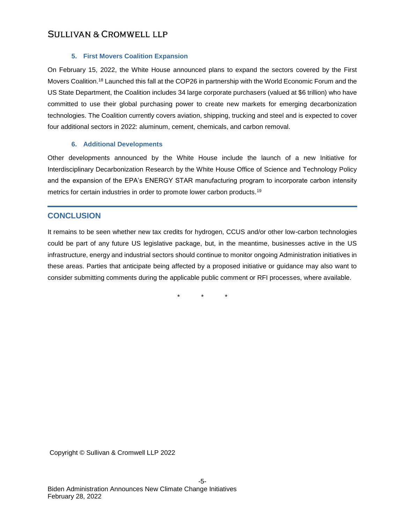## **5. First Movers Coalition Expansion**

On February 15, 2022, the White House announced plans to expand the sectors covered by the First Movers Coalition.<sup>18</sup> Launched this fall at the COP26 in partnership with the World Economic Forum and the US State Department, the Coalition includes 34 large corporate purchasers (valued at \$6 trillion) who have committed to use their global purchasing power to create new markets for emerging decarbonization technologies. The Coalition currently covers aviation, shipping, trucking and steel and is expected to cover four additional sectors in 2022: aluminum, cement, chemicals, and carbon removal.

## **6. Additional Developments**

Other developments announced by the White House include the launch of a new Initiative for Interdisciplinary Decarbonization Research by the White House Office of Science and Technology Policy and the expansion of the EPA's ENERGY STAR manufacturing program to incorporate carbon intensity metrics for certain industries in order to promote lower carbon products.<sup>19</sup>

# **CONCLUSION**

It remains to be seen whether new tax credits for hydrogen, CCUS and/or other low-carbon technologies could be part of any future US legislative package, but, in the meantime, businesses active in the US infrastructure, energy and industrial sectors should continue to monitor ongoing Administration initiatives in these areas. Parties that anticipate being affected by a proposed initiative or guidance may also want to consider submitting comments during the applicable public comment or RFI processes, where available.

\* \* \*

Copyright © Sullivan & Cromwell LLP 2022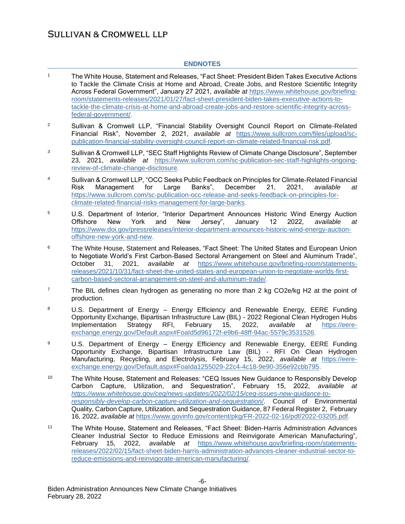## **ENDNOTES**

- <sup>1</sup> The White House, Statement and Releases, "Fact Sheet: President Biden Takes Executive Actions to Tackle the Climate Crisis at Home and Abroad, Create Jobs, and Restore Scientific Integrity Across Federal Government", January 27 2021, *available at* [https://www.whitehouse.gov/briefing](https://www.whitehouse.gov/briefing-room/statements-releases/2021/01/27/fact-sheet-president-biden-takes-executive-actions-to-tackle-the-climate-crisis-at-home-and-abroad-create-jobs-and-restore-scientific-integrity-across-federal-government/)[room/statements-releases/2021/01/27/fact-sheet-president-biden-takes-executive-actions-to](https://www.whitehouse.gov/briefing-room/statements-releases/2021/01/27/fact-sheet-president-biden-takes-executive-actions-to-tackle-the-climate-crisis-at-home-and-abroad-create-jobs-and-restore-scientific-integrity-across-federal-government/)[tackle-the-climate-crisis-at-home-and-abroad-create-jobs-and-restore-scientific-integrity-across](https://www.whitehouse.gov/briefing-room/statements-releases/2021/01/27/fact-sheet-president-biden-takes-executive-actions-to-tackle-the-climate-crisis-at-home-and-abroad-create-jobs-and-restore-scientific-integrity-across-federal-government/)[federal-government/.](https://www.whitehouse.gov/briefing-room/statements-releases/2021/01/27/fact-sheet-president-biden-takes-executive-actions-to-tackle-the-climate-crisis-at-home-and-abroad-create-jobs-and-restore-scientific-integrity-across-federal-government/)
- <sup>2</sup> Sullivan & Cromwell LLP, "Financial Stability Oversight Council Report on Climate-Related Financial Risk", November 2, 2021, *available at* [https://www.sullcrom.com/files/upload/sc](https://www.sullcrom.com/files/upload/sc-publication-financial-stability-oversight-council-report-on-climate-related-financial-risk.pdf)[publication-financial-stability-oversight-council-report-on-climate-related-financial-risk.pdf.](https://www.sullcrom.com/files/upload/sc-publication-financial-stability-oversight-council-report-on-climate-related-financial-risk.pdf)
- <sup>3</sup> Sullivan & Cromwell LLP, "SEC Staff Highlights Review of Climate Change Disclosure", September 23, 2021, *available at* [https://www.sullcrom.com/sc-publication-sec-staff-highlights-ongoing](https://www.sullcrom.com/sc-publication-sec-staff-highlights-ongoing-review-of-climate-change-disclosure)[review-of-climate-change-disclosure.](https://www.sullcrom.com/sc-publication-sec-staff-highlights-ongoing-review-of-climate-change-disclosure)
- <sup>4</sup> Sullivan & Cromwell LLP, "OCC Seeks Public Feedback on Principles for Climate-Related Financial Risk Management for Large Banks", December 21, 2021, *available at* [https://www.sullcrom.com/sc-publication-occ-release-and-seeks-feedback-on-principles-for](https://www.sullcrom.com/sc-publication-occ-release-and-seeks-feedback-on-principles-for-climate-related-financial-risks-management-for-large-banks)[climate-related-financial-risks-management-for-large-banks.](https://www.sullcrom.com/sc-publication-occ-release-and-seeks-feedback-on-principles-for-climate-related-financial-risks-management-for-large-banks)
- <sup>5</sup> U.S. Department of Interior, "Interior Department Announces Historic Wind Energy Auction Offshore New York and New Jersey", January 12 2022, *available at* [https://www.doi.gov/pressreleases/interior-department-announces-historic-wind-energy-auction](https://www.doi.gov/pressreleases/interior-department-announces-historic-wind-energy-auction-offshore-new-york-and-new)[offshore-new-york-and-new.](https://www.doi.gov/pressreleases/interior-department-announces-historic-wind-energy-auction-offshore-new-york-and-new)
- <sup>6</sup> The White House, Statement and Releases, "Fact Sheet: The United States and European Union to Negotiate World's First Carbon-Based Sectoral Arrangement on Steel and Aluminum Trade", October 31, 2021, *available at* [https://www.whitehouse.gov/briefing-room/statements](https://www.whitehouse.gov/briefing-room/statements-releases/2021/10/31/fact-sheet-the-united-states-and-european-union-to-negotiate-worlds-first-carbon-based-sectoral-arrangement-on-steel-and-aluminum-trade/)[releases/2021/10/31/fact-sheet-the-united-states-and-european-union-to-negotiate-worlds-first](https://www.whitehouse.gov/briefing-room/statements-releases/2021/10/31/fact-sheet-the-united-states-and-european-union-to-negotiate-worlds-first-carbon-based-sectoral-arrangement-on-steel-and-aluminum-trade/)[carbon-based-sectoral-arrangement-on-steel-and-aluminum-trade/.](https://www.whitehouse.gov/briefing-room/statements-releases/2021/10/31/fact-sheet-the-united-states-and-european-union-to-negotiate-worlds-first-carbon-based-sectoral-arrangement-on-steel-and-aluminum-trade/)
- <sup>7</sup> The BIL defines clean hydrogen as generating no more than 2 kg CO2e/kg H2 at the point of production.
- <sup>8</sup> U.S. Department of Energy Energy Efficiency and Renewable Energy, EERE Funding Opportunity Exchange, Bipartisan Infrastructure Law (BIL) - 2022 Regional Clean Hydrogen Hubs Implementation Strategy RFI, February 15, 2022, *available at* [https://eere](https://eere-exchange.energy.gov/Default.aspx#FoaId5d96172f-e9b6-48ff-94ac-5579c3531526)[exchange.energy.gov/Default.aspx#FoaId5d96172f-e9b6-48ff-94ac-5579c3531526.](https://eere-exchange.energy.gov/Default.aspx#FoaId5d96172f-e9b6-48ff-94ac-5579c3531526)
- <sup>9</sup> U.S. Department of Energy Energy Efficiency and Renewable Energy, EERE Funding Opportunity Exchange, Bipartisan Infrastructure Law (BIL) - RFI On Clean Hydrogen Manufacturing, Recycling, and Electrolysis, February 15, 2022, *available at* [https://eere](https://eere-exchange.energy.gov/Default.aspx#FoaIda1255029-22c4-4c18-9e90-356e92cbb795)[exchange.energy.gov/Default.aspx#FoaIda1255029-22c4-4c18-9e90-356e92cbb795.](https://eere-exchange.energy.gov/Default.aspx#FoaIda1255029-22c4-4c18-9e90-356e92cbb795)
- <sup>10</sup> The White House, Statement and Releases: "CEQ Issues New Guidance to Responsibly Develop Carbon Capture, Utilization, and Sequestration", February 15, 2022, *available at [https://www.whitehouse.gov/ceq/news-updates/2022/02/15/ceq-issues-new-guidance-to](https://www.whitehouse.gov/ceq/news-updates/2022/02/15/ceq-issues-new-guidance-to-responsibly-develop-carbon-capture-utilization-and-sequestration/)[responsibly-develop-carbon-capture-utilization-and-sequestration/.](https://www.whitehouse.gov/ceq/news-updates/2022/02/15/ceq-issues-new-guidance-to-responsibly-develop-carbon-capture-utilization-and-sequestration/)* Council of Environmental Quality, Carbon Capture, Utilization, and Sequestration Guidance, 87 Federal Register 2, February 16, 2022, *available at* [https://www.govinfo.gov/content/pkg/FR-2022-02-16/pdf/2022-03205.pdf.](https://www.govinfo.gov/content/pkg/FR-2022-02-16/pdf/2022-03205.pdf)
- <sup>11</sup> The White House, Statement and Releases, "Fact Sheet: Biden-Harris Administration Advances Cleaner Industrial Sector to Reduce Emissions and Reinvigorate American Manufacturing", February 15, 2022, *available at* [https://www.whitehouse.gov/briefing-room/statements](https://www.whitehouse.gov/briefing-room/statements-releases/2022/02/15/fact-sheet-biden-harris-administration-advances-cleaner-industrial-sector-to-reduce-emissions-and-reinvigorate-american-manufacturing/)[releases/2022/02/15/fact-sheet-biden-harris-administration-advances-cleaner-industrial-sector-to](https://www.whitehouse.gov/briefing-room/statements-releases/2022/02/15/fact-sheet-biden-harris-administration-advances-cleaner-industrial-sector-to-reduce-emissions-and-reinvigorate-american-manufacturing/)[reduce-emissions-and-reinvigorate-american-manufacturing/.](https://www.whitehouse.gov/briefing-room/statements-releases/2022/02/15/fact-sheet-biden-harris-administration-advances-cleaner-industrial-sector-to-reduce-emissions-and-reinvigorate-american-manufacturing/)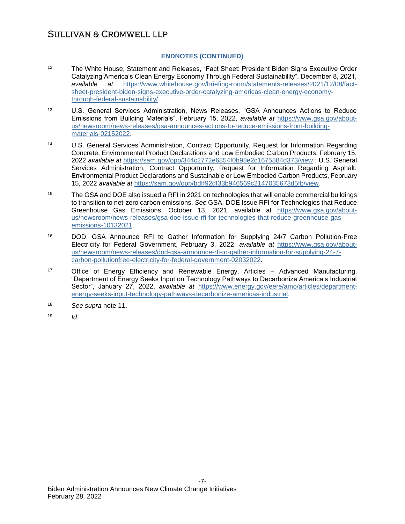## **ENDNOTES (CONTINUED)**

- <sup>12</sup> The White House, Statement and Releases, "Fact Sheet: President Biden Signs Executive Order Catalyzing America's Clean Energy Economy Through Federal Sustainability", December 8, 2021, *available at* [https://www.whitehouse.gov/briefing-room/statements-releases/2021/12/08/fact](https://www.whitehouse.gov/briefing-room/statements-releases/2021/12/08/fact-sheet-president-biden-signs-executive-order-catalyzing-americas-clean-energy-economy-through-federal-sustainability/)[sheet-president-biden-signs-executive-order-catalyzing-americas-clean-energy-economy](https://www.whitehouse.gov/briefing-room/statements-releases/2021/12/08/fact-sheet-president-biden-signs-executive-order-catalyzing-americas-clean-energy-economy-through-federal-sustainability/)[through-federal-sustainability/.](https://www.whitehouse.gov/briefing-room/statements-releases/2021/12/08/fact-sheet-president-biden-signs-executive-order-catalyzing-americas-clean-energy-economy-through-federal-sustainability/)
- <sup>13</sup> U.S. General Services Administration, News Releases, "GSA Announces Actions to Reduce Emissions from Building Materials", February 15, 2022, *available at* [https://www.gsa.gov/about](https://www.gsa.gov/about-us/newsroom/news-releases/gsa-announces-actions-to-reduce-emissions-from-building-materials-02152022)[us/newsroom/news-releases/gsa-announces-actions-to-reduce-emissions-from-building](https://www.gsa.gov/about-us/newsroom/news-releases/gsa-announces-actions-to-reduce-emissions-from-building-materials-02152022)[materials-02152022.](https://www.gsa.gov/about-us/newsroom/news-releases/gsa-announces-actions-to-reduce-emissions-from-building-materials-02152022)
- <sup>14</sup> U.S. General Services Administration, Contract Opportunity, Request for Information Regarding Concrete: Environmental Product Declarations and Low Embodied Carbon Products, February 15, 2022 *available at* <https://sam.gov/opp/344c2772e6854f0b98e2c1675884d373/view> ; U.S. General Services Administration, Contract Opportunity, Request for Information Regarding Asphalt: Environmental Product Declarations and Sustainable or Low Embodied Carbon Products, February 15, 2022 *available at* [https://sam.gov/opp/bdff92df33b946569c2147035673d5fb/view.](https://sam.gov/opp/bdff92df33b946569c2147035673d5fb/view)
- <sup>15</sup> The GSA and DOE also issued a RFI in 2021 on technologies that will enable commercial buildings to transition to net-zero carbon emissions. *See* GSA, DOE Issue RFI for Technologies that Reduce Greenhouse Gas Emissions, October 13, 2021, available at [https://www.gsa.gov/about](https://www.gsa.gov/about-us/newsroom/news-releases/gsa-doe-issue-rfi-for-technologies-that-reduce-greenhouse-gas-emissions-10132021)[us/newsroom/news-releases/gsa-doe-issue-rfi-for-technologies-that-reduce-greenhouse-gas](https://www.gsa.gov/about-us/newsroom/news-releases/gsa-doe-issue-rfi-for-technologies-that-reduce-greenhouse-gas-emissions-10132021)[emissions-10132021.](https://www.gsa.gov/about-us/newsroom/news-releases/gsa-doe-issue-rfi-for-technologies-that-reduce-greenhouse-gas-emissions-10132021)
- <sup>16</sup> DOD, GSA Announce RFI to Gather Information for Supplying 24/7 Carbon Pollution-Free Electricity for Federal Government, February 3, 2022, *available at* [https://www.gsa.gov/about](https://www.gsa.gov/about-us/newsroom/news-releases/dod-gsa-announce-rfi-to-gather-information-for-supplying-24-7-carbon-pollutionfree-electricity-for-federal-government-02032022)[us/newsroom/news-releases/dod-gsa-announce-rfi-to-gather-information-for-supplying-24-7](https://www.gsa.gov/about-us/newsroom/news-releases/dod-gsa-announce-rfi-to-gather-information-for-supplying-24-7-carbon-pollutionfree-electricity-for-federal-government-02032022) [carbon-pollutionfree-electricity-for-federal-government-02032022.](https://www.gsa.gov/about-us/newsroom/news-releases/dod-gsa-announce-rfi-to-gather-information-for-supplying-24-7-carbon-pollutionfree-electricity-for-federal-government-02032022)
- <sup>17</sup> Office of Energy Efficiency and Renewable Energy, Articles Advanced Manufacturing, "Department of Energy Seeks Input on Technology Pathways to Decarbonize America's Industrial Sector", January 27, 2022, *available at* [https://www.energy.gov/eere/amo/articles/department](https://www.energy.gov/eere/amo/articles/department-energy-seeks-input-technology-pathways-decarbonize-americas-industrial)[energy-seeks-input-technology-pathways-decarbonize-americas-industrial.](https://www.energy.gov/eere/amo/articles/department-energy-seeks-input-technology-pathways-decarbonize-americas-industrial)
- <sup>18</sup> *See supra* note 11.
- <sup>19</sup> *Id*.